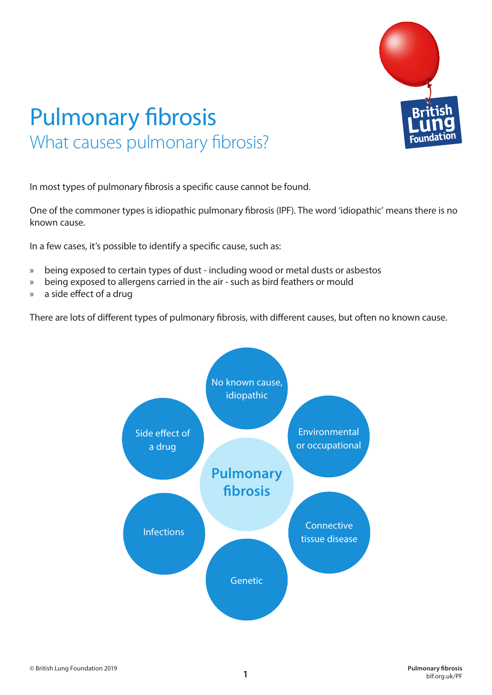

## Pulmonary fibrosis What causes pulmonary fibrosis?

In most types of pulmonary fibrosis a specific cause cannot be found.

One of the commoner types is idiopathic pulmonary fibrosis (IPF). The word 'idiopathic' means there is no known cause.

In a few cases, it's possible to identify a specific cause, such as:

- » being exposed to certain types of dust including wood or metal dusts or asbestos
- » being exposed to allergens carried in the air such as bird feathers or mould
- » a side effect of a drug

There are lots of different types of pulmonary fibrosis, with different causes, but often no known cause.